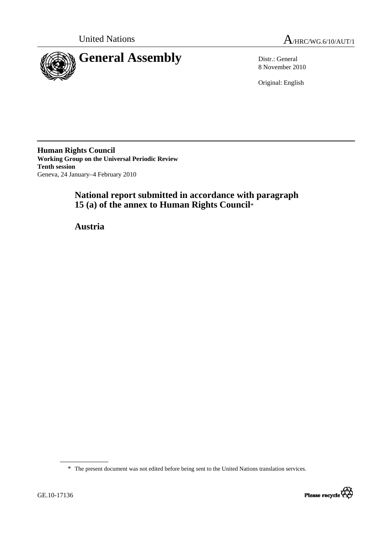



8 November 2010

Original: English

**Human Rights Council Working Group on the Universal Periodic Review Tenth session**  Geneva, 24 January–4 February 2010

# **National report submitted in accordance with paragraph 15 (a) of the annex to Human Rights Council**\*

 **Austria** 

\* The present document was not edited before being sent to the United Nations translation services.

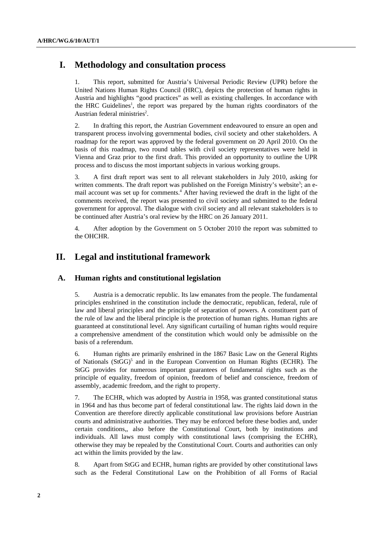# **I. Methodology and consultation process**

1. This report, submitted for Austria's Universal Periodic Review (UPR) before the United Nations Human Rights Council (HRC), depicts the protection of human rights in Austria and highlights "good practices" as well as existing challenges. In accordance with the HRC Guidelines<sup>1</sup>, the report was prepared by the human rights coordinators of the Austrian federal ministries<sup>2</sup>.

2. In drafting this report, the Austrian Government endeavoured to ensure an open and transparent process involving governmental bodies, civil society and other stakeholders. A roadmap for the report was approved by the federal government on 20 April 2010. On the basis of this roadmap, two round tables with civil society representatives were held in Vienna and Graz prior to the first draft. This provided an opportunity to outline the UPR process and to discuss the most important subjects in various working groups.

3. A first draft report was sent to all relevant stakeholders in July 2010, asking for written comments. The draft report was published on the Foreign Ministry's website<sup>3</sup>; an email account was set up for comments.<sup>4</sup> After having reviewed the draft in the light of the comments received, the report was presented to civil society and submitted to the federal government for approval. The dialogue with civil society and all relevant stakeholders is to be continued after Austria's oral review by the HRC on 26 January 2011.

4. After adoption by the Government on 5 October 2010 the report was submitted to the OHCHR.

# **II. Legal and institutional framework**

#### **A. Human rights and constitutional legislation**

5. Austria is a democratic republic. Its law emanates from the people. The fundamental principles enshrined in the constitution include the democratic, republican, federal, rule of law and liberal principles and the principle of separation of powers. A constituent part of the rule of law and the liberal principle is the protection of human rights. Human rights are guaranteed at constitutional level. Any significant curtailing of human rights would require a comprehensive amendment of the constitution which would only be admissible on the basis of a referendum.

6. Human rights are primarily enshrined in the 1867 Basic Law on the General Rights of Nationals (StGG)<sup>5</sup> and in the European Convention on Human Rights (ECHR). The StGG provides for numerous important guarantees of fundamental rights such as the principle of equality, freedom of opinion, freedom of belief and conscience, freedom of assembly, academic freedom, and the right to property.

7. The ECHR, which was adopted by Austria in 1958, was granted constitutional status in 1964 and has thus become part of federal constitutional law. The rights laid down in the Convention are therefore directly applicable constitutional law provisions before Austrian courts and administrative authorities. They may be enforced before these bodies and, under certain conditions,, also before the Constitutional Court, both by institutions and individuals. All laws must comply with constitutional laws (comprising the ECHR), otherwise they may be repealed by the Constitutional Court. Courts and authorities can only act within the limits provided by the law.

8. Apart from StGG and ECHR, human rights are provided by other constitutional laws such as the Federal Constitutional Law on the Prohibition of all Forms of Racial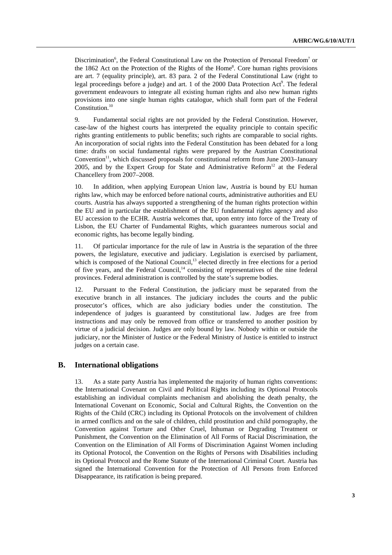Discrimination<sup>6</sup>, the Federal Constitutional Law on the Protection of Personal Freedom<sup>7</sup> or the 1862 Act on the Protection of the Rights of the Home<sup>8</sup>. Core human rights provisions are art. 7 (equality principle), art. 83 para. 2 of the Federal Constitutional Law (right to legal proceedings before a judge) and art. 1 of the 2000 Data Protection Act<sup>9</sup>. The federal government endeavours to integrate all existing human rights and also new human rights provisions into one single human rights catalogue, which shall form part of the Federal Constitution.<sup>10</sup>

9. Fundamental social rights are not provided by the Federal Constitution. However, case-law of the highest courts has interpreted the equality principle to contain specific rights granting entitlements to public benefits; such rights are comparable to social rights. An incorporation of social rights into the Federal Constitution has been debated for a long time: drafts on social fundamental rights were prepared by the Austrian Constitutional  $Convention<sup>11</sup>$ , which discussed proposals for constitutional reform from June 2003–January 2005, and by the Expert Group for State and Administrative  $Reform<sup>12</sup>$  at the Federal Chancellery from 2007–2008.

10. In addition, when applying European Union law, Austria is bound by EU human rights law, which may be enforced before national courts, administrative authorities and EU courts. Austria has always supported a strengthening of the human rights protection within the EU and in particular the establishment of the EU fundamental rights agency and also EU accession to the ECHR. Austria welcomes that, upon entry into force of the Treaty of Lisbon, the EU Charter of Fundamental Rights, which guarantees numerous social and economic rights, has become legally binding.

11. Of particular importance for the rule of law in Austria is the separation of the three powers, the legislature, executive and judiciary. Legislation is exercised by parliament, which is composed of the National Council,<sup>13</sup> elected directly in free elections for a period of five years, and the Federal Council,<sup>14</sup> consisting of representatives of the nine federal provinces. Federal administration is controlled by the state's supreme bodies.

12. Pursuant to the Federal Constitution, the judiciary must be separated from the executive branch in all instances. The judiciary includes the courts and the public prosecutor's offices, which are also judiciary bodies under the constitution. The independence of judges is guaranteed by constitutional law. Judges are free from instructions and may only be removed from office or transferred to another position by virtue of a judicial decision. Judges are only bound by law. Nobody within or outside the judiciary, nor the Minister of Justice or the Federal Ministry of Justice is entitled to instruct judges on a certain case.

#### **B. International obligations**

13. As a state party Austria has implemented the majority of human rights conventions: the International Covenant on Civil and Political Rights including its Optional Protocols establishing an individual complaints mechanism and abolishing the death penalty, the International Covenant on Economic, Social and Cultural Rights, the Convention on the Rights of the Child (CRC) including its Optional Protocols on the involvement of children in armed conflicts and on the sale of children, child prostitution and child pornography, the Convention against Torture and Other Cruel, Inhuman or Degrading Treatment or Punishment, the Convention on the Elimination of All Forms of Racial Discrimination, the Convention on the Elimination of All Forms of Discrimination Against Women including its Optional Protocol, the Convention on the Rights of Persons with Disabilities including its Optional Protocol and the Rome Statute of the International Criminal Court. Austria has signed the International Convention for the Protection of All Persons from Enforced Disappearance, its ratification is being prepared.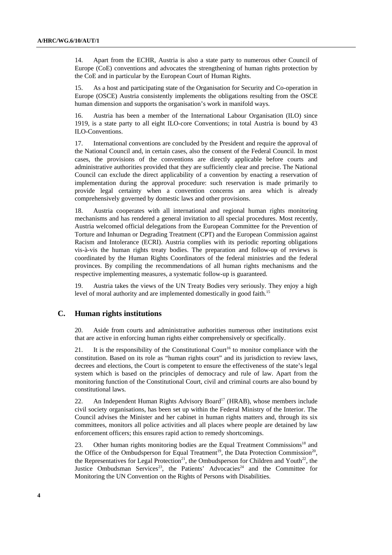14. Apart from the ECHR, Austria is also a state party to numerous other Council of Europe (CoE) conventions and advocates the strengthening of human rights protection by the CoE and in particular by the European Court of Human Rights.

15. As a host and participating state of the Organisation for Security and Co-operation in Europe (OSCE) Austria consistently implements the obligations resulting from the OSCE human dimension and supports the organisation's work in manifold ways.

16. Austria has been a member of the International Labour Organisation (ILO) since 1919, is a state party to all eight ILO-core Conventions; in total Austria is bound by 43 ILO-Conventions.

17. International conventions are concluded by the President and require the approval of the National Council and, in certain cases, also the consent of the Federal Council. In most cases, the provisions of the conventions are directly applicable before courts and administrative authorities provided that they are sufficiently clear and precise. The National Council can exclude the direct applicability of a convention by enacting a reservation of implementation during the approval procedure: such reservation is made primarily to provide legal certainty when a convention concerns an area which is already comprehensively governed by domestic laws and other provisions.

18. Austria cooperates with all international and regional human rights monitoring mechanisms and has rendered a general invitation to all special procedures. Most recently, Austria welcomed official delegations from the European Committee for the Prevention of Torture and Inhuman or Degrading Treatment (CPT) and the European Commission against Racism and Intolerance (ECRI). Austria complies with its periodic reporting obligations vis-à-vis the human rights treaty bodies. The preparation and follow-up of reviews is coordinated by the Human Rights Coordinators of the federal ministries and the federal provinces. By compiling the recommendations of all human rights mechanisms and the respective implementing measures, a systematic follow-up is guaranteed.

19. Austria takes the views of the UN Treaty Bodies very seriously. They enjoy a high level of moral authority and are implemented domestically in good faith.<sup>15</sup>

# **C. Human rights institutions**

20. Aside from courts and administrative authorities numerous other institutions exist that are active in enforcing human rights either comprehensively or specifically.

21. It is the responsibility of the Constitutional Court<sup>16</sup> to monitor compliance with the constitution. Based on its role as "human rights court" and its jurisdiction to review laws, decrees and elections, the Court is competent to ensure the effectiveness of the state's legal system which is based on the principles of democracy and rule of law. Apart from the monitoring function of the Constitutional Court, civil and criminal courts are also bound by constitutional laws.

22. An Independent Human Rights Advisory Board<sup>17</sup> (HRAB), whose members include civil society organisations, has been set up within the Federal Ministry of the Interior. The Council advises the Minister and her cabinet in human rights matters and, through its six committees, monitors all police activities and all places where people are detained by law enforcement officers; this ensures rapid action to remedy shortcomings.

23. Other human rights monitoring bodies are the Equal Treatment Commissions<sup>18</sup> and the Office of the Ombudsperson for Equal Treatment<sup>19</sup>, the Data Protection Commission<sup>20</sup>, the Representatives for Legal Protection<sup>21</sup>, the Ombudsperson for Children and Youth<sup>22</sup>, the Justice Ombudsman Services<sup>23</sup>, the Patients' Advocacies<sup>24</sup> and the Committee for Monitoring the UN Convention on the Rights of Persons with Disabilities.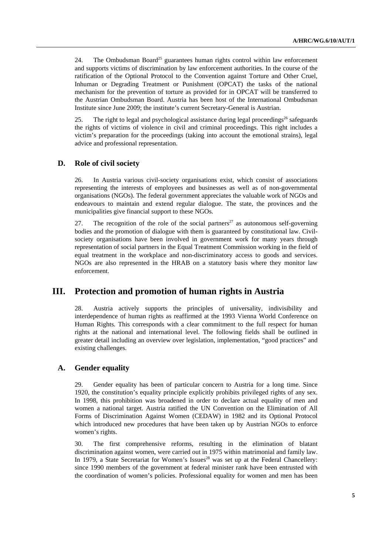24. The Ombudsman Board<sup>25</sup> guarantees human rights control within law enforcement and supports victims of discrimination by law enforcement authorities. In the course of the ratification of the Optional Protocol to the Convention against Torture and Other Cruel, Inhuman or Degrading Treatment or Punishment (OPCAT) the tasks of the national mechanism for the prevention of torture as provided for in OPCAT will be transferred to the Austrian Ombudsman Board. Austria has been host of the International Ombudsman Institute since June 2009; the institute's current Secretary-General is Austrian.

25. The right to legal and psychological assistance during legal proceedings<sup>26</sup> safeguards the rights of victims of violence in civil and criminal proceedings. This right includes a victim's preparation for the proceedings (taking into account the emotional strains), legal advice and professional representation.

#### **D. Role of civil society**

26. In Austria various civil-society organisations exist, which consist of associations representing the interests of employees and businesses as well as of non-governmental organisations (NGOs). The federal government appreciates the valuable work of NGOs and endeavours to maintain and extend regular dialogue. The state, the provinces and the municipalities give financial support to these NGOs.

27. The recognition of the role of the social partners<sup>27</sup> as autonomous self-governing bodies and the promotion of dialogue with them is guaranteed by constitutional law. Civilsociety organisations have been involved in government work for many years through representation of social partners in the Equal Treatment Commission working in the field of equal treatment in the workplace and non-discriminatory access to goods and services. NGOs are also represented in the HRAB on a statutory basis where they monitor law enforcement.

# **III. Protection and promotion of human rights in Austria**

28. Austria actively supports the principles of universality, indivisibility and interdependence of human rights as reaffirmed at the 1993 Vienna World Conference on Human Rights. This corresponds with a clear commitment to the full respect for human rights at the national and international level. The following fields shall be outlined in greater detail including an overview over legislation, implementation, "good practices" and existing challenges.

## **A. Gender equality**

29. Gender equality has been of particular concern to Austria for a long time. Since 1920, the constitution's equality principle explicitly prohibits privileged rights of any sex. In 1998, this prohibition was broadened in order to declare actual equality of men and women a national target. Austria ratified the UN Convention on the Elimination of All Forms of Discrimination Against Women (CEDAW) in 1982 and its Optional Protocol which introduced new procedures that have been taken up by Austrian NGOs to enforce women's rights.

30. The first comprehensive reforms, resulting in the elimination of blatant discrimination against women, were carried out in 1975 within matrimonial and family law. In 1979, a State Secretariat for Women's Issues<sup>28</sup> was set up at the Federal Chancellery: since 1990 members of the government at federal minister rank have been entrusted with the coordination of women's policies. Professional equality for women and men has been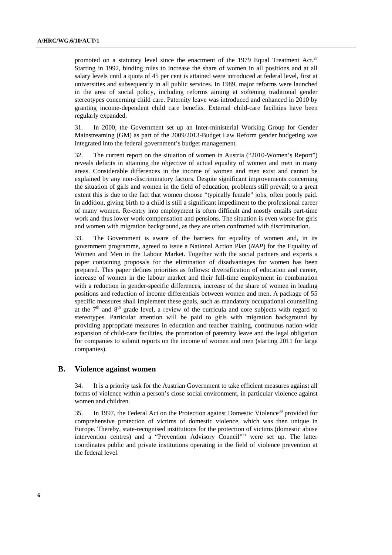promoted on a statutory level since the enactment of the 1979 Equal Treatment Act.<sup>29</sup> Starting in 1992, binding rules to increase the share of women in all positions and at all salary levels until a quota of 45 per cent is attained were introduced at federal level, first at universities and subsequently in all public services. In 1989, major reforms were launched in the area of social policy, including reforms aiming at softening traditional gender stereotypes concerning child care. Paternity leave was introduced and enhanced in 2010 by granting income-dependent child care benefits. External child-care facilities have been regularly expanded.

31. In 2000, the Government set up an Inter-ministerial Working Group for Gender Mainstreaming (GM) as part of the 2009/2013-Budget Law Reform gender budgeting was integrated into the federal government's budget management.

32. The current report on the situation of women in Austria ("2010-Women's Report") reveals deficits in attaining the objective of actual equality of women and men in many areas. Considerable differences in the income of women and men exist and cannot be explained by any non-discriminatory factors. Despite significant improvements concerning the situation of girls and women in the field of education, problems still prevail; to a great extent this is due to the fact that women choose "typically female" jobs, often poorly paid. In addition, giving birth to a child is still a significant impediment to the professional career of many women. Re-entry into employment is often difficult and mostly entails part-time work and thus lower work compensation and pensions. The situation is even worse for girls and women with migration background, as they are often confronted with discrimination.

33. The Government is aware of the barriers for equality of women and, in its government programme, agreed to issue a National Action Plan (*NAP*) for the Equality of Women and Men in the Labour Market. Together with the social partners and experts a paper containing proposals for the elimination of disadvantages for women has been prepared. This paper defines priorities as follows: diversification of education and career, increase of women in the labour market and their full-time employment in combination with a reduction in gender-specific differences, increase of the share of women in leading positions and reduction of income differentials between women and men. A package of 55 specific measures shall implement these goals, such as mandatory occupational counselling at the  $7<sup>th</sup>$  and  $8<sup>th</sup>$  grade level, a review of the curricula and core subjects with regard to stereotypes. Particular attention will be paid to girls with migration background by providing appropriate measures in education and teacher training, continuous nation-wide expansion of child-care facilities, the promotion of paternity leave and the legal obligation for companies to submit reports on the income of women and men (starting 2011 for large companies).

#### **B. Violence against women**

34. It is a priority task for the Austrian Government to take efficient measures against all forms of violence within a person's close social environment, in particular violence against women and children.

35. In 1997, the Federal Act on the Protection against Domestic Violence<sup>30</sup> provided for comprehensive protection of victims of domestic violence, which was then unique in Europe. Thereby, state-recognised institutions for the protection of victims (domestic abuse intervention centres) and a "Prevention Advisory Council"<sup>31</sup> were set up. The latter coordinates public and private institutions operating in the field of violence prevention at the federal level.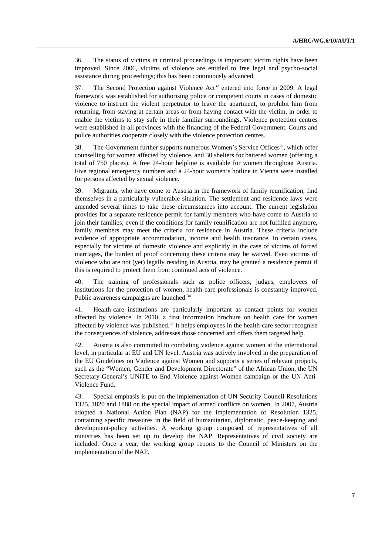36. The status of victims in criminal proceedings is important; victim rights have been improved. Since 2006, victims of violence are entitled to free legal and psycho-social assistance during proceedings; this has been continuously advanced.

37. The Second Protection against Violence Act<sup>32</sup> entered into force in 2009. A legal framework was established for authorising police or competent courts in cases of domestic violence to instruct the violent perpetrator to leave the apartment, to prohibit him from returning, from staying at certain areas or from having contact with the victim, in order to enable the victims to stay safe in their familiar surroundings. Violence protection centres were established in all provinces with the financing of the Federal Government. Courts and police authorities cooperate closely with the violence protection centres.

38. The Government further supports numerous Women's Service Offices<sup>33</sup>, which offer counselling for women affected by violence, and 30 shelters for battered women (offering a total of 750 places). A free 24-hour helpline is available for women throughout Austria. Five regional emergency numbers and a 24-hour women's hotline in Vienna were installed for persons affected by sexual violence.

39. Migrants, who have come to Austria in the framework of family reunification, find themselves in a particularly vulnerable situation. The settlement and residence laws were amended several times to take these circumstances into account. The current legislation provides for a separate residence permit for family members who have come to Austria to join their families; even if the conditions for family reunification are not fulfilled anymore, family members may meet the criteria for residence in Austria. These criteria include evidence of appropriate accommodation, income and health insurance. In certain cases, especially for victims of domestic violence and explicitly in the case of victims of forced marriages, the burden of proof concerning these criteria may be waived. Even victims of violence who are not (yet) legally residing in Austria, may be granted a residence permit if this is required to protect them from continued acts of violence.

40. The training of professionals such as police officers, judges, employees of institutions for the protection of women, health-care professionals is constantly improved. Public awareness campaigns are launched.<sup>34</sup>

41. Health-care institutions are particularly important as contact points for women affected by violence. In 2010, a first information brochure on health care for women affected by violence was published.<sup>35</sup> It helps employees in the health-care sector recognise the consequences of violence, addresses those concerned and offers them targeted help.

42. Austria is also committed to combating violence against women at the international level, in particular at EU and UN level. Austria was actively involved in the preparation of the EU Guidelines on Violence against Women and supports a series of relevant projects, such as the "Women, Gender and Development Directorate" of the African Union, the UN Secretary-General's UNiTE to End Violence against Women campaign or the UN Anti-Violence Fund.

43. Special emphasis is put on the implementation of UN Security Council Resolutions 1325, 1820 and 1888 on the special impact of armed conflicts on women. In 2007, Austria adopted a National Action Plan (NAP) for the implementation of Resolution 1325, containing specific measures in the field of humanitarian, diplomatic, peace-keeping and development-policy activities. A working group composed of representatives of all ministries has been set up to develop the NAP. Representatives of civil society are included. Once a year, the working group reports to the Council of Ministers on the implementation of the NAP.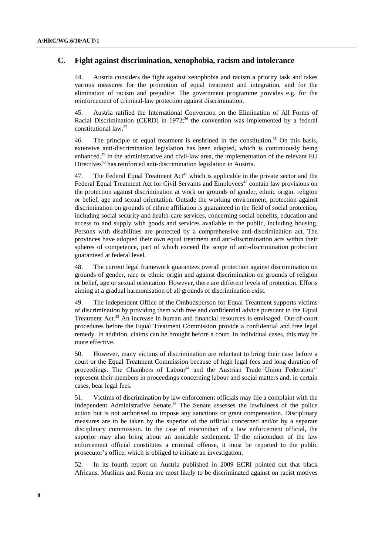## **C. Fight against discrimination, xenophobia, racism and intolerance**

44. Austria considers the fight against xenophobia and racism a priority task and takes various measures for the promotion of equal treatment and integration, and for the elimination of racism and prejudice. The government programme provides e.g. for the reinforcement of criminal-law protection against discrimination.

45. Austria ratified the International Convention on the Elimination of All Forms of Racial Discrimination (CERD) in  $1972$ ;<sup>36</sup> the convention was implemented by a federal constitutional law.37

46. The principle of equal treatment is enshrined in the constitution.<sup>38</sup> On this basis, extensive anti-discrimination legislation has been adopted, which is continuously being enhanced.<sup>39</sup> In the administrative and civil-law area, the implementation of the relevant EU Directives<sup>40</sup> has reinforced anti-discrimination legislation in Austria.

47. The Federal Equal Treatment  $Act<sup>41</sup>$  which is applicable in the private sector and the Federal Equal Treatment Act for Civil Servants and Employees<sup>42</sup> contain law provisions on the protection against discrimination at work on grounds of gender, ethnic origin, religion or belief, age and sexual orientation. Outside the working environment, protection against discrimination on grounds of ethnic affiliation is guaranteed in the field of social protection, including social security and health-care services, concerning social benefits, education and access to and supply with goods and services available to the public, including housing. Persons with disabilities are protected by a comprehensive anti-discrimination act. The provinces have adopted their own equal treatment and anti-discrimination acts within their spheres of competence, part of which exceed the scope of anti-discrimination protection guaranteed at federal level.

48. The current legal framework guarantees overall protection against discrimination on grounds of gender, race or ethnic origin and against discrimination on grounds of religion or belief, age or sexual orientation. However, there are different levels of protection. Efforts aiming at a gradual harmonisation of all grounds of discrimination exist.

49. The independent Office of the Ombudsperson for Equal Treatment supports victims of discrimination by providing them with free and confidential advice pursuant to the Equal Treatment Act.<sup>43</sup> An increase in human and financial resources is envisaged. Out-of-court procedures before the Equal Treatment Commission provide a confidential and free legal remedy. In addition, claims can be brought before a court. In individual cases, this may be more effective.

50. However, many victims of discrimination are reluctant to bring their case before a court or the Equal Treatment Commission because of high legal fees and long duration of proceedings. The Chambers of Labour<sup>44</sup> and the Austrian Trade Union Federation<sup>45</sup> represent their members in proceedings concerning labour and social matters and, in certain cases, bear legal fees.

51. Victims of discrimination by law enforcement officials may file a complaint with the Independent Administrative Senate.46 The Senate assesses the lawfulness of the police action but is not authorised to impose any sanctions or grant compensation. Disciplinary measures are to be taken by the superior of the official concerned and/or by a separate disciplinary commission. In the case of misconduct of a law enforcement official, the superior may also bring about an amicable settlement. If the misconduct of the law enforcement official constitutes a criminal offense, it must be reported to the public prosecutor's office, which is obliged to initiate an investigation.

52. In its fourth report on Austria published in 2009 ECRI pointed out that black Africans, Muslims and Roma are most likely to be discriminated against on racist motives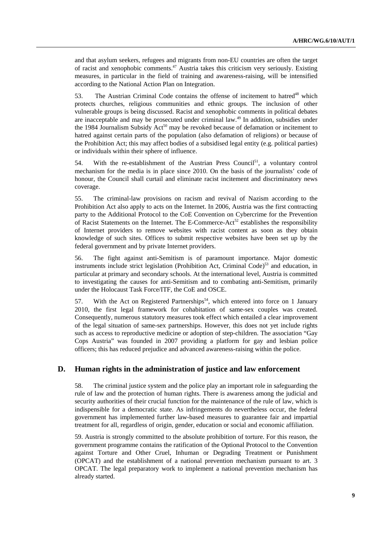and that asylum seekers, refugees and migrants from non-EU countries are often the target of racist and xenophobic comments.47 Austria takes this criticism very seriously. Existing measures, in particular in the field of training and awareness-raising, will be intensified according to the National Action Plan on Integration.

53. The Austrian Criminal Code contains the offense of incitement to hatred<sup>48</sup> which protects churches, religious communities and ethnic groups. The inclusion of other vulnerable groups is being discussed. Racist and xenophobic comments in political debates are inacceptable and may be prosecuted under criminal law.49 In addition, subsidies under the 1984 Journalism Subsidy  $Act<sup>50</sup>$  may be revoked because of defamation or incitement to hatred against certain parts of the population (also defamation of religions) or because of the Prohibition Act; this may affect bodies of a subsidised legal entity (e.g. political parties) or individuals within their sphere of influence.

54. With the re-establishment of the Austrian Press Council<sup>51</sup>, a voluntary control mechanism for the media is in place since 2010. On the basis of the journalists' code of honour, the Council shall curtail and eliminate racist incitement and discriminatory news coverage.

55. The criminal-law provisions on racism and revival of Nazism according to the Prohibition Act also apply to acts on the Internet. In 2006, Austria was the first contracting party to the Additional Protocol to the CoE Convention on Cybercrime for the Prevention of Racist Statements on the Internet. The E-Commerce-Act<sup>52</sup> establishes the responsibility of Internet providers to remove websites with racist content as soon as they obtain knowledge of such sites. Offices to submit respective websites have been set up by the federal government and by private Internet providers.

56. The fight against anti-Semitism is of paramount importance. Major domestic instruments include strict legislation (Prohibition Act, Criminal Code)<sup>53</sup> and education, in particular at primary and secondary schools. At the international level, Austria is committed to investigating the causes for anti-Semitism and to combating anti-Semitism, primarily under the Holocaust Task Force/ITF, the CoE and OSCE.

57. With the Act on Registered Partnerships<sup>54</sup>, which entered into force on 1 January 2010, the first legal framework for cohabitation of same-sex couples was created. Consequently, numerous statutory measures took effect which entailed a clear improvement of the legal situation of same-sex partnerships. However, this does not yet include rights such as access to reproductive medicine or adoption of step-children. The association "Gay Cops Austria" was founded in 2007 providing a platform for gay and lesbian police officers; this has reduced prejudice and advanced awareness-raising within the police.

#### **D. Human rights in the administration of justice and law enforcement**

58. The criminal justice system and the police play an important role in safeguarding the rule of law and the protection of human rights. There is awareness among the judicial and security authorities of their crucial function for the maintenance of the rule of law, which is indispensible for a democratic state. As infringements do nevertheless occur, the federal government has implemented further law-based measures to guarantee fair and impartial treatment for all, regardless of origin, gender, education or social and economic affiliation.

59. Austria is strongly committed to the absolute prohibition of torture. For this reason, the government programme contains the ratification of the Optional Protocol to the Convention against Torture and Other Cruel, Inhuman or Degrading Treatment or Punishment (OPCAT) and the establishment of a national prevention mechanism pursuant to art. 3 OPCAT. The legal preparatory work to implement a national prevention mechanism has already started.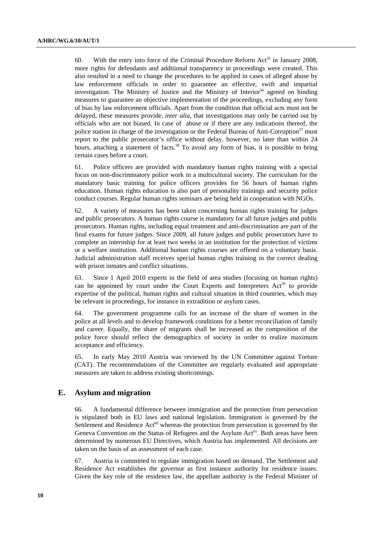60. With the entry into force of the Criminal Procedure Reform Act<sup>55</sup> in January 2008, more rights for defendants and additional transparency in proceedings were created. This also resulted in a need to change the procedures to be applied in cases of alleged abuse by law enforcement officials in order to guarantee an effective, swift and impartial investigation. The Ministry of Justice and the Ministry of Interior<sup>56</sup> agreed on binding measures to guarantee an objective implementation of the proceedings, excluding any form of bias by law enforcement officials. Apart from the condition that official acts must not be delayed, these measures provide, *inter alia*, that investigations may only be carried out by officials who are not biased. In case of abuse or if there are any indications thereof, the police station in charge of the investigation or the Federal Bureau of Anti-Corruption<sup>57</sup> must report to the public prosecutor's office without delay, however, no later than within 24 hours, attaching a statement of facts.<sup>58</sup> To avoid any form of bias, it is possible to bring certain cases before a court.

61. Police officers are provided with mandatory human rights training with a special focus on non-discriminatory police work in a multicultural society. The curriculum for the mandatory basic training for police officers provides for 56 hours of human rights education. Human rights education is also part of personality trainings and security police conduct courses. Regular human rights seminars are being held in cooperation with NGOs.

62. A variety of measures has been taken concerning human rights training for judges and public prosecutors. A human rights course is mandatory for all future judges and public prosecutors. Human rights, including equal treatment and anti-discrimination are part of the final exams for future judges. Since 2009, all future judges and public prosecutors have to complete an internship for at least two weeks in an institution for the protection of victims or a welfare institution. Additional human rights courses are offered on a voluntary basis. Judicial administration staff receives special human rights training in the correct dealing with prison inmates and conflict situations.

63. Since 1 April 2010 experts in the field of area studies (focusing on human rights) can be appointed by court under the Court Experts and Interpreters  $Act<sup>59</sup>$  to provide expertise of the political, human rights and cultural situation in third countries, which may be relevant in proceedings, for instance in extradition or asylum cases.

64. The government programme calls for an increase of the share of women in the police at all levels and to develop framework conditions for a better reconciliation of family and career. Equally, the share of migrants shall be increased as the composition of the police force should reflect the demographics of society in order to realize maximum acceptance and efficiency.

65. In early May 2010 Austria was reviewed by the UN Committee against Torture (CAT). The recommendations of the Committee are regularly evaluated and appropriate measures are taken to address existing shortcomings.

## **E. Asylum and migration**

66. A fundamental difference between immigration and the protection from persecution is stipulated both in EU laws and national legislation. Immigration is governed by the Settlement and Residence  $Act^{60}$  whereas the protection from persecution is governed by the Geneva Convention on the Status of Refugees and the Asylum Act<sup>61</sup>. Both areas have been determined by numerous EU Directives, which Austria has implemented. All decisions are taken on the basis of an assessment of each case.

67. Austria is committed to regulate immigration based on demand. The Settlement and Residence Act establishes the governor as first instance authority for residence issues. Given the key role of the residence law, the appellate authority is the Federal Minister of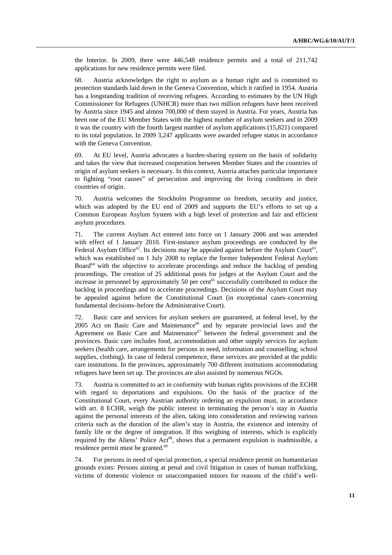the Interior. In 2009, there were 446,548 residence permits and a total of 211,742 applications for new residence permits were filed.

68. Austria acknowledges the right to asylum as a human right and is committed to protection standards laid down in the Geneva Convention, which it ratified in 1954. Austria has a longstanding tradition of receiving refugees. According to estimates by the UN High Commissioner for Refugees (UNHCR) more than two million refugees have been received by Austria since 1945 and almost 700,000 of them stayed in Austria. For years, Austria has been one of the EU Member States with the highest number of asylum seekers and in 2009 it was the country with the fourth largest number of asylum applications (15,821) compared to its total population. In 2009 3,247 applicants were awarded refugee status in accordance with the Geneva Convention.

69. At EU level, Austria advocates a burden-sharing system on the basis of solidarity and takes the view that increased cooperation between Member States and the countries of origin of asylum seekers is necessary. In this context, Austria attaches particular importance to fighting "root causes" of persecution and improving the living conditions in their countries of origin.

70. Austria welcomes the Stockholm Programme on freedom, security and justice, which was adopted by the EU end of 2009 and supports the EU's efforts to set up a Common European Asylum System with a high level of protection and fair and efficient asylum procedures.

71. The current Asylum Act entered into force on 1 January 2006 and was amended with effect of 1 January 2010. First-instance asylum proceedings are conducted by the Federal Asylum Office<sup>62</sup>. Its decisions may be appealed against before the Asylum Court<sup>63</sup>, which was established on 1 July 2008 to replace the former Independent Federal Asylum Board<sup>64</sup> with the objective to accelerate proceedings and reduce the backlog of pending proceedings. The creation of 25 additional posts for judges at the Asylum Court and the increase in personnel by approximately 50 per cent<sup>65</sup> successfully contributed to reduce the backlog in proceedings and to accelerate proceedings. Decisions of the Asylum Court may be appealed against before the Constitutional Court (in exceptional cases–concerning fundamental decisions–before the Administrative Court).

72. Basic care and services for asylum seekers are guaranteed, at federal level, by the 2005 Act on Basic Care and Maintenance<sup>66</sup> and by separate provincial laws and the Agreement on Basic Care and Maintenance<sup>67</sup> between the federal government and the provinces. Basic care includes food, accommodation and other supply services for asylum seekers (health care, arrangements for persons in need, information and counselling, school supplies, clothing). In case of federal competence, these services are provided at the public care institutions. In the provinces, approximately 700 different institutions accommodating refugees have been set up. The provinces are also assisted by numerous NGOs.

73. Austria is committed to act in conformity with human rights provisions of the ECHR with regard to deportations and expulsions. On the basis of the practice of the Constitutional Court, every Austrian authority ordering an expulsion must, in accordance with art. 8 ECHR, weigh the public interest in terminating the person's stay in Austria against the personal interests of the alien, taking into consideration and reviewing various criteria such as the duration of the alien's stay in Austria, the existence and intensity of family life or the degree of integration. If this weighing of interests, which is explicitly required by the Aliens' Police Act<sup>68</sup>, shows that a permanent expulsion is inadmissible, a residence permit must be granted.<sup>69</sup>

74. For persons in need of special protection, a special residence permit on humanitarian grounds exists: Persons aiming at penal and civil litigation in cases of human trafficking, victims of domestic violence or unaccompanied minors for reasons of the child's well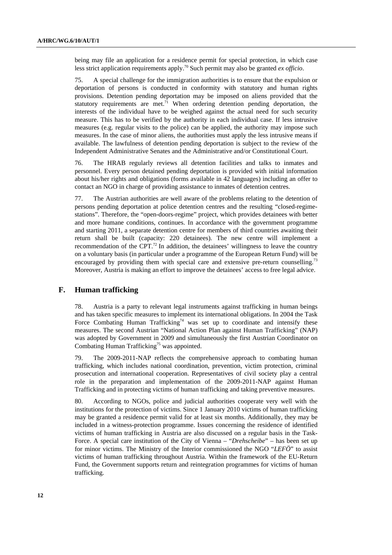being may file an application for a residence permit for special protection, in which case less strict application requirements apply.70 Such permit may also be granted *ex officio*.

75. A special challenge for the immigration authorities is to ensure that the expulsion or deportation of persons is conducted in conformity with statutory and human rights provisions. Detention pending deportation may be imposed on aliens provided that the statutory requirements are met.<sup>71</sup> When ordering detention pending deportation, the interests of the individual have to be weighed against the actual need for such security measure. This has to be verified by the authority in each individual case. If less intrusive measures (e.g. regular visits to the police) can be applied, the authority may impose such measures. In the case of minor aliens, the authorities must apply the less intrusive means if available. The lawfulness of detention pending deportation is subject to the review of the Independent Administrative Senates and the Administrative and/or Constitutional Court.

76. The HRAB regularly reviews all detention facilities and talks to inmates and personnel. Every person detained pending deportation is provided with initial information about his/her rights and obligations (forms available in 42 languages) including an offer to contact an NGO in charge of providing assistance to inmates of detention centres.

77. The Austrian authorities are well aware of the problems relating to the detention of persons pending deportation at police detention centres and the resulting "closed-regimestations". Therefore, the "open-doors-regime" project, which provides detainees with better and more humane conditions, continues. In accordance with the government programme and starting 2011, a separate detention centre for members of third countries awaiting their return shall be built (capacity: 220 detainees). The new centre will implement a recommendation of the CPT.<sup>72</sup> In addition, the detainees' willingness to leave the country on a voluntary basis (in particular under a programme of the European Return Fund) will be encouraged by providing them with special care and extensive pre-return counselling.<sup>73</sup> Moreover, Austria is making an effort to improve the detainees' access to free legal advice.

#### **F. Human trafficking**

78. Austria is a party to relevant legal instruments against trafficking in human beings and has taken specific measures to implement its international obligations. In 2004 the Task Force Combating Human Trafficking<sup>74</sup> was set up to coordinate and intensify these measures. The second Austrian "National Action Plan against Human Trafficking" (NAP) was adopted by Government in 2009 and simultaneously the first Austrian Coordinator on Combating Human Trafficking<sup>75</sup> was appointed.

79. The 2009-2011-NAP reflects the comprehensive approach to combating human trafficking, which includes national coordination, prevention, victim protection, criminal prosecution and international cooperation. Representatives of civil society play a central role in the preparation and implementation of the 2009-2011-NAP against Human Trafficking and in protecting victims of human trafficking and taking preventive measures.

80. According to NGOs, police and judicial authorities cooperate very well with the institutions for the protection of victims. Since 1 January 2010 victims of human trafficking may be granted a residence permit valid for at least six months. Additionally, they may be included in a witness-protection programme. Issues concerning the residence of identified victims of human trafficking in Austria are also discussed on a regular basis in the Task-Force. A special care institution of the City of Vienna – "*Drehscheibe*" – has been set up for minor victims. The Ministry of the Interior commissioned the NGO "*LEFÖ*" to assist victims of human trafficking throughout Austria. Within the framework of the EU-Return Fund, the Government supports return and reintegration programmes for victims of human trafficking.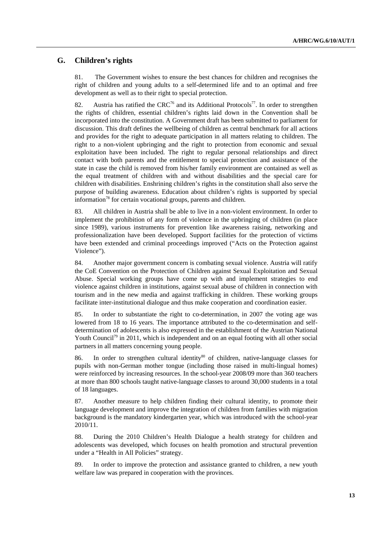#### **G. Children's rights**

81. The Government wishes to ensure the best chances for children and recognises the right of children and young adults to a self-determined life and to an optimal and free development as well as to their right to special protection.

82. Austria has ratified the  $CRC^{76}$  and its Additional Protocols<sup>77</sup>. In order to strengthen the rights of children, essential children's rights laid down in the Convention shall be incorporated into the constitution. A Government draft has been submitted to parliament for discussion. This draft defines the wellbeing of children as central benchmark for all actions and provides for the right to adequate participation in all matters relating to children. The right to a non-violent upbringing and the right to protection from economic and sexual exploitation have been included. The right to regular personal relationships and direct contact with both parents and the entitlement to special protection and assistance of the state in case the child is removed from his/her family environment are contained as well as the equal treatment of children with and without disabilities and the special care for children with disabilities. Enshrining children's rights in the constitution shall also serve the purpose of building awareness. Education about children's rights is supported by special information<sup>78</sup> for certain vocational groups, parents and children.

83. All children in Austria shall be able to live in a non-violent environment. In order to implement the prohibition of any form of violence in the upbringing of children (in place since 1989), various instruments for prevention like awareness raising, networking and professionalization have been developed. Support facilities for the protection of victims have been extended and criminal proceedings improved ("Acts on the Protection against Violence").

84. Another major government concern is combating sexual violence. Austria will ratify the CoE Convention on the Protection of Children against Sexual Exploitation and Sexual Abuse. Special working groups have come up with and implement strategies to end violence against children in institutions, against sexual abuse of children in connection with tourism and in the new media and against trafficking in children. These working groups facilitate inter-institutional dialogue and thus make cooperation and coordination easier.

85. In order to substantiate the right to co-determination, in 2007 the voting age was lowered from 18 to 16 years. The importance attributed to the co-determination and selfdetermination of adolescents is also expressed in the establishment of the Austrian National Youth Council<sup>79</sup> in 2011, which is independent and on an equal footing with all other social partners in all matters concerning young people.

86. In order to strengthen cultural identity<sup>80</sup> of children, native-language classes for pupils with non-German mother tongue (including those raised in multi-lingual homes) were reinforced by increasing resources. In the school-year 2008/09 more than 360 teachers at more than 800 schools taught native-language classes to around 30,000 students in a total of 18 languages.

87. Another measure to help children finding their cultural identity, to promote their language development and improve the integration of children from families with migration background is the mandatory kindergarten year, which was introduced with the school-year 2010/11.

88. During the 2010 Children's Health Dialogue a health strategy for children and adolescents was developed, which focuses on health promotion and structural prevention under a "Health in All Policies" strategy.

89. In order to improve the protection and assistance granted to children, a new youth welfare law was prepared in cooperation with the provinces.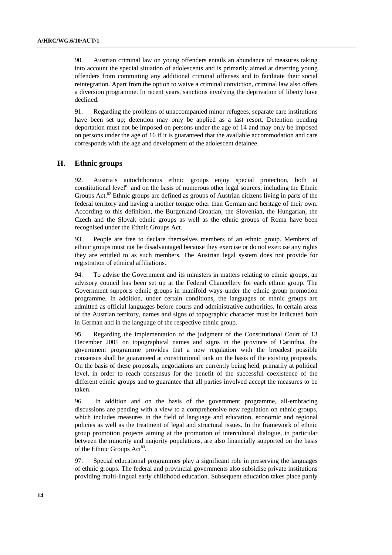90. Austrian criminal law on young offenders entails an abundance of measures taking into account the special situation of adolescents and is primarily aimed at deterring young offenders from committing any additional criminal offenses and to facilitate their social reintegration. Apart from the option to waive a criminal conviction, criminal law also offers a diversion programme. In recent years, sanctions involving the deprivation of liberty have declined.

91. Regarding the problems of unaccompanied minor refugees, separate care institutions have been set up; detention may only be applied as a last resort. Detention pending deportation must not be imposed on persons under the age of 14 and may only be imposed on persons under the age of 16 if it is guaranteed that the available accommodation and care corresponds with the age and development of the adolescent detainee.

## **H. Ethnic groups**

92. Austria's autochthonous ethnic groups enjoy special protection, both at constitutional level<sup>81</sup> and on the basis of numerous other legal sources, including the Ethnic Groups Act. $82$  Ethnic groups are defined as groups of Austrian citizens living in parts of the federal territory and having a mother tongue other than German and heritage of their own. According to this definition, the Burgenland-Croatian, the Slovenian, the Hungarian, the Czech and the Slovak ethnic groups as well as the ethnic groups of Roma have been recognised under the Ethnic Groups Act.

93. People are free to declare themselves members of an ethnic group. Members of ethnic groups must not be disadvantaged because they exercise or do not exercise any rights they are entitled to as such members. The Austrian legal system does not provide for registration of ethnical affiliations.

94. To advise the Government and its ministers in matters relating to ethnic groups, an advisory council has been set up at the Federal Chancellery for each ethnic group. The Government supports ethnic groups in manifold ways under the ethnic group promotion programme. In addition, under certain conditions, the languages of ethnic groups are admitted as official languages before courts and administrative authorities. In certain areas of the Austrian territory, names and signs of topographic character must be indicated both in German and in the language of the respective ethnic group.

95. Regarding the implementation of the judgment of the Constitutional Court of 13 December 2001 on topographical names and signs in the province of Carinthia, the government programme provides that a new regulation with the broadest possible consensus shall be guaranteed at constitutional rank on the basis of the existing proposals. On the basis of these proposals, negotiations are currently being held, primarily at political level, in order to reach consensus for the benefit of the successful coexistence of the different ethnic groups and to guarantee that all parties involved accept the measures to be taken.

96. In addition and on the basis of the government programme, all-embracing discussions are pending with a view to a comprehensive new regulation on ethnic groups, which includes measures in the field of language and education, economic and regional policies as well as the treatment of legal and structural issues. In the framework of ethnic group promotion projects aiming at the promotion of intercultural dialogue, in particular between the minority and majority populations, are also financially supported on the basis of the Ethnic Groups Act<sup>83</sup>.

97. Special educational programmes play a significant role in preserving the languages of ethnic groups. The federal and provincial governments also subsidise private institutions providing multi-lingual early childhood education. Subsequent education takes place partly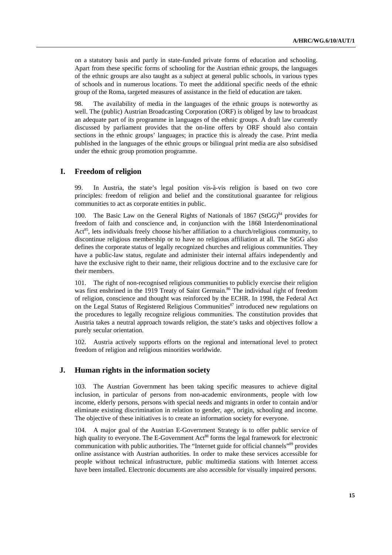on a statutory basis and partly in state-funded private forms of education and schooling. Apart from these specific forms of schooling for the Austrian ethnic groups, the languages of the ethnic groups are also taught as a subject at general public schools, in various types of schools and in numerous locations. To meet the additional specific needs of the ethnic group of the Roma, targeted measures of assistance in the field of education are taken.

98. The availability of media in the languages of the ethnic groups is noteworthy as well. The (public) Austrian Broadcasting Corporation (ORF) is obliged by law to broadcast an adequate part of its programme in languages of the ethnic groups. A draft law currently discussed by parliament provides that the on-line offers by ORF should also contain sections in the ethnic groups' languages; in practice this is already the case. Print media published in the languages of the ethnic groups or bilingual print media are also subsidised under the ethnic group promotion programme.

#### **I. Freedom of religion**

99. In Austria, the state's legal position vis-à-vis religion is based on two core principles: freedom of religion and belief and the constitutional guarantee for religious communities to act as corporate entities in public.

100. The Basic Law on the General Rights of Nationals of 1867 (StGG) $84$  provides for freedom of faith and conscience and, in conjunction with the 1868 Interdenominational Act<sup>85</sup>, lets individuals freely choose his/her affiliation to a church/religious community, to discontinue religious membership or to have no religious affiliation at all. The StGG also defines the corporate status of legally recognized churches and religious communities. They have a public-law status, regulate and administer their internal affairs independently and have the exclusive right to their name, their religious doctrine and to the exclusive care for their members.

101. The right of non-recognised religious communities to publicly exercise their religion was first enshrined in the 1919 Treaty of Saint Germain.<sup>86</sup> The individual right of freedom of religion, conscience and thought was reinforced by the ECHR. In 1998, the Federal Act on the Legal Status of Registered Religious Communities<sup>87</sup> introduced new regulations on the procedures to legally recognize religious communities. The constitution provides that Austria takes a neutral approach towards religion, the state's tasks and objectives follow a purely secular orientation.

102. Austria actively supports efforts on the regional and international level to protect freedom of religion and religious minorities worldwide.

#### **J. Human rights in the information society**

103. The Austrian Government has been taking specific measures to achieve digital inclusion, in particular of persons from non-academic environments, people with low income, elderly persons, persons with special needs and migrants in order to contain and/or eliminate existing discrimination in relation to gender, age, origin, schooling and income. The objective of these initiatives is to create an information society for everyone.

104. A major goal of the Austrian E-Government Strategy is to offer public service of high quality to everyone. The E-Government Act<sup>88</sup> forms the legal framework for electronic communication with public authorities. The "Internet guide for official channels"89 provides online assistance with Austrian authorities. In order to make these services accessible for people without technical infrastructure, public multimedia stations with Internet access have been installed. Electronic documents are also accessible for visually impaired persons.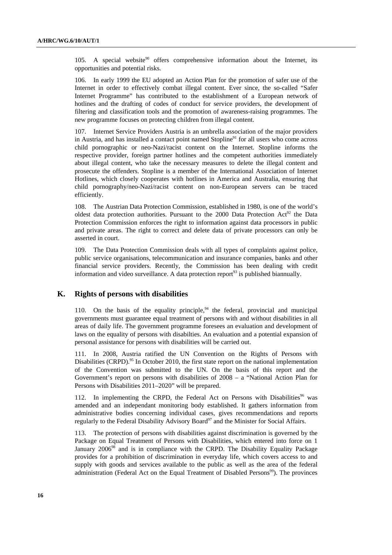105. A special website<sup>90</sup> offers comprehensive information about the Internet, its opportunities and potential risks.

106. In early 1999 the EU adopted an Action Plan for the promotion of safer use of the Internet in order to effectively combat illegal content. Ever since, the so-called "Safer Internet Programme" has contributed to the establishment of a European network of hotlines and the drafting of codes of conduct for service providers, the development of filtering and classification tools and the promotion of awareness-raising programmes. The new programme focuses on protecting children from illegal content.

107. Internet Service Providers Austria is an umbrella association of the major providers in Austria, and has installed a contact point named Stopline<sup>91</sup> for all users who come across child pornographic or neo-Nazi/racist content on the Internet. Stopline informs the respective provider, foreign partner hotlines and the competent authorities immediately about illegal content, who take the necessary measures to delete the illegal content and prosecute the offenders. Stopline is a member of the International Association of Internet Hotlines, which closely cooperates with hotlines in America and Australia, ensuring that child pornography/neo-Nazi/racist content on non-European servers can be traced efficiently.

108. The Austrian Data Protection Commission, established in 1980, is one of the world's oldest data protection authorities. Pursuant to the 2000 Data Protection  $Act^{92}$  the Data Protection Commission enforces the right to information against data processors in public and private areas. The right to correct and delete data of private processors can only be asserted in court.

109. The Data Protection Commission deals with all types of complaints against police, public service organisations, telecommunication and insurance companies, banks and other financial service providers. Recently, the Commission has been dealing with credit information and video surveillance. A data protection report<sup>93</sup> is published biannually.

#### **K. Rights of persons with disabilities**

110. On the basis of the equality principle, $94$  the federal, provincial and municipal governments must guarantee equal treatment of persons with and without disabilities in all areas of daily life. The government programme foresees an evaluation and development of laws on the equality of persons with disabilties. An evaluation and a potential expansion of personal assistance for persons with disabilities will be carried out.

111. In 2008, Austria ratified the UN Convention on the Rights of Persons with Disabilities (CRPD).<sup>95</sup> In October 2010, the first state report on the national implementation of the Convention was submitted to the UN. On the basis of this report and the Government's report on persons with disabilities of 2008 – a "National Action Plan for Persons with Disabilities 2011–2020" will be prepared.

112. In implementing the CRPD, the Federal Act on Persons with Disabilities<sup>96</sup> was amended and an independant monitoring body established. It gathers information from administrative bodies concerning individual cases, gives recommendations and reports regularly to the Federal Disability Advisory Board<sup>97</sup> and the Minister for Social Affairs.

113. The protection of persons with disabilities against discrimination is governed by the Package on Equal Treatment of Persons with Disabilities, which entered into force on 1 January 2006<sup>98</sup> and is in compliance with the CRPD. The Disability Equality Package provides for a prohibition of discrimination in everyday life, which covers access to and supply with goods and services available to the public as well as the area of the federal administration (Federal Act on the Equal Treatment of Disabled Persons<sup>99</sup>). The provinces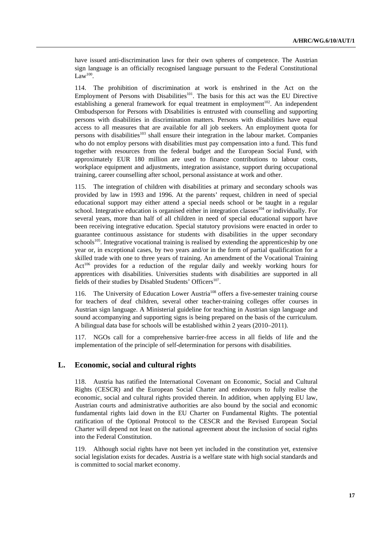have issued anti-discrimination laws for their own spheres of competence. The Austrian sign language is an officially recognised language pursuant to the Federal Constitutional Law $^{100}$ .

114. The prohibition of discrimination at work is enshrined in the Act on the Employment of Persons with Disabilities<sup>101</sup>. The basis for this act was the EU Directive establishing a general framework for equal treatment in employment<sup>102</sup>. An independent Ombudsperson for Persons with Disabilities is entrusted with counselling and supporting persons with disabilities in discrimination matters. Persons with disabilities have equal access to all measures that are available for all job seekers. An employment quota for persons with disabilities<sup>103</sup> shall ensure their integration in the labour market. Companies who do not employ persons with disabilities must pay compensation into a fund. This fund together with resources from the federal budget and the European Social Fund, with approximately EUR 180 million are used to finance contributions to labour costs, workplace equipment and adjustments, integration assistance, support during occupational training, career counselling after school, personal assistance at work and other.

115. The integration of children with disabilities at primary and secondary schools was provided by law in 1993 and 1996. At the parents' request, children in need of special educational support may either attend a special needs school or be taught in a regular school. Integrative education is organised either in integration classes<sup>104</sup> or individually. For several years, more than half of all children in need of special educational support have been receiving integrative education. Special statutory provisions were enacted in order to guarantee continuous assistance for students with disabilities in the upper secondary schools<sup>105</sup>. Integrative vocational training is realised by extending the apprenticeship by one year or, in exceptional cases, by two years and/or in the form of partial qualification for a skilled trade with one to three years of training. An amendment of the Vocational Training Act<sup>106</sup> provides for a reduction of the regular daily and weekly working hours for apprentices with disabilities. Universities students with disabilities are supported in all fields of their studies by Disabled Students' Officers<sup>107</sup>.

116. The University of Education Lower Austria<sup>108</sup> offers a five-semester training course for teachers of deaf children, several other teacher-training colleges offer courses in Austrian sign language. A Ministerial guideline for teaching in Austrian sign language and sound accompanying and supporting signs is being prepared on the basis of the curriculum. A bilingual data base for schools will be established within 2 years (2010–2011).

117. NGOs call for a comprehensive barrier-free access in all fields of life and the implementation of the principle of self-determination for persons with disabilities.

#### **L. Economic, social and cultural rights**

118. Austria has ratified the International Covenant on Economic, Social and Cultural Rights (CESCR) and the European Social Charter and endeavours to fully realise the economic, social and cultural rights provided therein. In addition, when applying EU law, Austrian courts and administrative authorities are also bound by the social and economic fundamental rights laid down in the EU Charter on Fundamental Rights. The potential ratification of the Optional Protocol to the CESCR and the Revised European Social Charter will depend not least on the national agreement about the inclusion of social rights into the Federal Constitution.

119. Although social rights have not been yet included in the constitution yet, extensive social legislation exists for decades. Austria is a welfare state with high social standards and is committed to social market economy.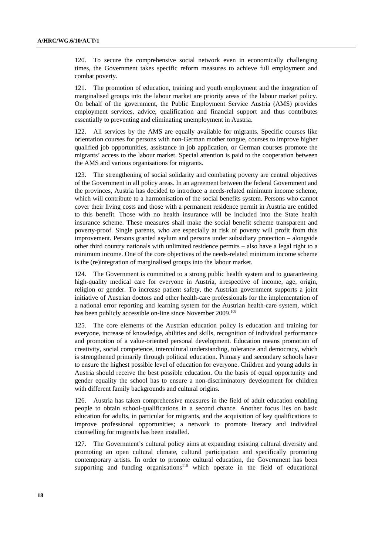120. To secure the comprehensive social network even in economically challenging times, the Government takes specific reform measures to achieve full employment and combat poverty.

121. The promotion of education, training and youth employment and the integration of marginalised groups into the labour market are priority areas of the labour market policy. On behalf of the government, the Public Employment Service Austria (AMS) provides employment services, advice, qualification and financial support and thus contributes essentially to preventing and eliminating unemployment in Austria.

122. All services by the AMS are equally available for migrants. Specific courses like orientation courses for persons with non-German mother tongue, courses to improve higher qualified job opportunities, assistance in job application, or German courses promote the migrants' access to the labour market. Special attention is paid to the cooperation between the AMS and various organisations for migrants.

123. The strengthening of social solidarity and combating poverty are central objectives of the Government in all policy areas. In an agreement between the federal Government and the provinces, Austria has decided to introduce a needs-related minimum income scheme, which will contribute to a harmonisation of the social benefits system. Persons who cannot cover their living costs and those with a permanent residence permit in Austria are entitled to this benefit. Those with no health insurance will be included into the State health insurance scheme. These measures shall make the social benefit scheme transparent and poverty-proof. Single parents, who are especially at risk of poverty will profit from this improvement. Persons granted asylum and persons under subsidiary protection – alongside other third country nationals with unlimited residence permits – also have a legal right to a minimum income. One of the core objectives of the needs-related minimum income scheme is the (re)integration of marginalised groups into the labour market.

124. The Government is committed to a strong public health system and to guaranteeing high-quality medical care for everyone in Austria, irrespective of income, age, origin, religion or gender. To increase patient safety, the Austrian government supports a joint initiative of Austrian doctors and other health-care professionals for the implementation of a national error reporting and learning system for the Austrian health-care system, which has been publicly accessible on-line since November 2009.<sup>109</sup>

125. The core elements of the Austrian education policy is education and training for everyone, increase of knowledge, abilities and skills, recognition of individual performance and promotion of a value-oriented personal development. Education means promotion of creativity, social competence, intercultural understanding, tolerance and democracy, which is strengthened primarily through political education. Primary and secondary schools have to ensure the highest possible level of education for everyone. Children and young adults in Austria should receive the best possible education. On the basis of equal opportunity and gender equality the school has to ensure a non-discriminatory development for children with different family backgrounds and cultural origins.

126. Austria has taken comprehensive measures in the field of adult education enabling people to obtain school-qualifications in a second chance. Another focus lies on basic education for adults, in particular for migrants, and the acquisition of key qualifications to improve professional opportunities; a network to promote literacy and individual counselling for migrants has been installed.

127. The Government's cultural policy aims at expanding existing cultural diversity and promoting an open cultural climate, cultural participation and specifically promoting contemporary artists. In order to promote cultural education, the Government has been supporting and funding organisations<sup>110</sup> which operate in the field of educational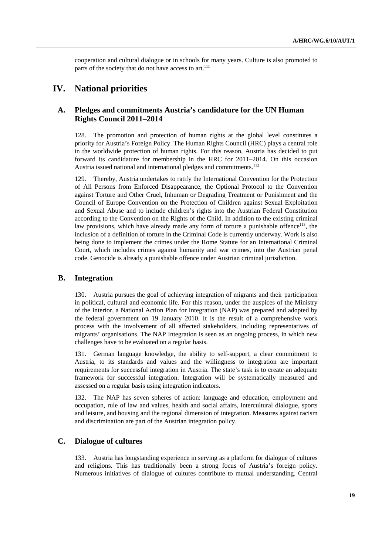cooperation and cultural dialogue or in schools for many years. Culture is also promoted to parts of the society that do not have access to art.<sup>111</sup>

# **IV. National priorities**

## **A. Pledges and commitments Austria's candidature for the UN Human Rights Council 2011–2014**

128. The promotion and protection of human rights at the global level constitutes a priority for Austria's Foreign Policy. The Human Rights Council (HRC) plays a central role in the worldwide protection of human rights. For this reason, Austria has decided to put forward its candidature for membership in the HRC for 2011–2014. On this occasion Austria issued national and international pledges and commitments.<sup>112</sup>

129. Thereby, Austria undertakes to ratify the International Convention for the Protection of All Persons from Enforced Disappearance, the Optional Protocol to the Convention against Torture and Other Cruel, Inhuman or Degrading Treatment or Punishment and the Council of Europe Convention on the Protection of Children against Sexual Exploitation and Sexual Abuse and to include children's rights into the Austrian Federal Constitution according to the Convention on the Rights of the Child. In addition to the existing criminal law provisions, which have already made any form of torture a punishable offence $13$ , the inclusion of a definition of torture in the Criminal Code is currently underway. Work is also being done to implement the crimes under the Rome Statute for an International Criminal Court, which includes crimes against humanity and war crimes, into the Austrian penal code. Genocide is already a punishable offence under Austrian criminal jurisdiction.

#### **B. Integration**

130. Austria pursues the goal of achieving integration of migrants and their participation in political, cultural and economic life. For this reason, under the auspices of the Ministry of the Interior, a National Action Plan for Integration (NAP) was prepared and adopted by the federal government on 19 January 2010. It is the result of a comprehensive work process with the involvement of all affected stakeholders, including representatives of migrants' organisations. The NAP Integration is seen as an ongoing process, in which new challenges have to be evaluated on a regular basis.

131. German language knowledge, the ability to self-support, a clear commitment to Austria, to its standards and values and the willingness to integration are important requirements for successful integration in Austria. The state's task is to create an adequate framework for successful integration. Integration will be systematically measured and assessed on a regular basis using integration indicators.

132. The NAP has seven spheres of action: language and education, employment and occupation, rule of law and values, health and social affairs, intercultural dialogue, sports and leisure, and housing and the regional dimension of integration. Measures against racism and discrimination are part of the Austrian integration policy.

## **C. Dialogue of cultures**

133. Austria has longstanding experience in serving as a platform for dialogue of cultures and religions. This has traditionally been a strong focus of Austria's foreign policy. Numerous initiatives of dialogue of cultures contribute to mutual understanding. Central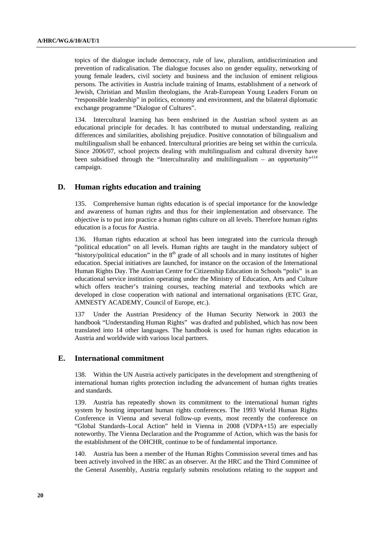topics of the dialogue include democracy, rule of law, pluralism, antidiscrimination and prevention of radicalisation. The dialogue focuses also on gender equality, networking of young female leaders, civil society and business and the inclusion of eminent religious persons. The activities in Austria include training of Imams, establishment of a network of Jewish, Christian and Muslim theologians, the Arab-European Young Leaders Forum on "responsible leadership" in politics, economy and environment, and the bilateral diplomatic exchange programme "Dialogue of Cultures".

134. Intercultural learning has been enshrined in the Austrian school system as an educational principle for decades. It has contributed to mutual understanding, realizing differences and similarities, abolishing prejudice. Positive connotation of bilingualism and multilingualism shall be enhanced. Intercultural priorities are being set within the curricula. Since 2006/07, school projects dealing with multilingualism and cultural diversity have been subsidised through the "Interculturality and multilingualism – an opportunity"<sup>114</sup> campaign.

#### **D. Human rights education and training**

135. Comprehensive human rights education is of special importance for the knowledge and awareness of human rights and thus for their implementation and observance. The objective is to put into practice a human rights culture on all levels. Therefore human rights education is a focus for Austria.

136. Human rights education at school has been integrated into the curricula through "political education" on all levels. Human rights are taught in the mandatory subject of "history/political education" in the  $8<sup>th</sup>$  grade of all schools and in many institutes of higher education. Special initiatives are launched, for instance on the occasion of the International Human Rights Day. The Austrian Centre for Citizenship Education in Schools "polis" is an educational service institution operating under the Ministry of Education, Arts and Culture which offers teacher's training courses, teaching material and textbooks which are developed in close cooperation with national and international organisations (ETC Graz, AMNESTY ACADEMY, Council of Europe, etc.).

137 Under the Austrian Presidency of the Human Security Network in 2003 the handbook "Understanding Human Rights" was drafted and published, which has now been translated into 14 other languages. The handbook is used for human rights education in Austria and worldwide with various local partners.

#### **E. International commitment**

138. Within the UN Austria actively participates in the development and strengthening of international human rights protection including the advancement of human rights treaties and standards.

139. Austria has repeatedly shown its commitment to the international human rights system by hosting important human rights conferences. The 1993 World Human Rights Conference in Vienna and several follow-up events, most recently the conference on "Global Standards–Local Action" held in Vienna in 2008 (VDPA+15) are especially noteworthy. The Vienna Declaration and the Programme of Action, which was the basis for the establishment of the OHCHR, continue to be of fundamental importance.

140. Austria has been a member of the Human Rights Commission several times and has been actively involved in the HRC as an observer. At the HRC and the Third Committee of the General Assembly, Austria regularly submits resolutions relating to the support and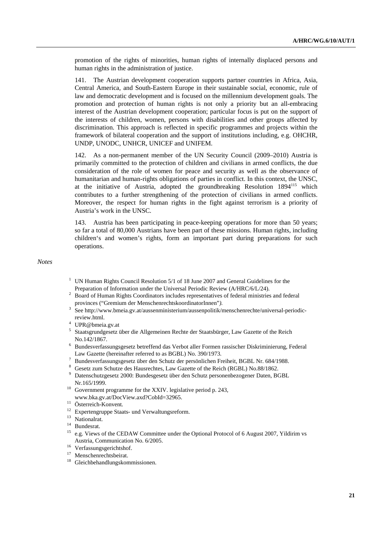promotion of the rights of minorities, human rights of internally displaced persons and human rights in the administration of justice.

141. The Austrian development cooperation supports partner countries in Africa, Asia, Central America, and South-Eastern Europe in their sustainable social, economic, rule of law and democratic development and is focused on the millennium development goals. The promotion and protection of human rights is not only a priority but an all-embracing interest of the Austrian development cooperation; particular focus is put on the support of the interests of children, women, persons with disabilities and other groups affected by discrimination. This approach is reflected in specific programmes and projects within the framework of bilateral cooperation and the support of institutions including, e.g. OHCHR, UNDP, UNODC, UNHCR, UNICEF and UNIFEM.

142. As a non-permanent member of the UN Security Council (2009–2010) Austria is primarily committed to the protection of children and civilians in armed conflicts, the due consideration of the role of women for peace and security as well as the observance of humanitarian and human-rights obligations of parties in conflict. In this context, the UNSC, at the initiative of Austria, adopted the groundbreaking Resolution 1894115 which contributes to a further strengthening of the protection of civilians in armed conflicts. Moreover, the respect for human rights in the fight against terrorism is a priority of Austria's work in the UNSC.

143. Austria has been participating in peace-keeping operations for more than 50 years; so far a total of 80,000 Austrians have been part of these missions. Human rights, including children's and women's rights, form an important part during preparations for such operations.

*Notes* 

- <sup>1</sup> UN Human Rights Council Resolution  $5/1$  of 18 June 2007 and General Guidelines for the Preparation of Information under the Universal Periodic Review (A/HRC/6/L/24).
- <sup>2</sup> Board of Human Rights Coordinators includes representatives of federal ministries and federal provinces ("Gremium der MenschenrechtskoordinatorInnen"*).*
- <sup>3</sup> See http://www.bmeia.gv.at/aussenministerium/aussenpolitik/menschenrechte/universal-periodic-
- review.html. 4 UPR@bmeia.gv.at
- <sup>5</sup> Staatsgrundgesetz über die Allgemeinen Rechte der Staatsbürger, Law Gazette of the Reich
- No.142/1867. 6 Bundesverfassungsgesetz betreffend das Verbot aller Formen rassischer Diskriminierung, Federal Law Gazette (hereinafter referred to as BGBL) No. 390/1973.
- Bundesverfassungsgesetz über den Schutz der persönlichen Freiheit, BGBL Nr. 684/1988. 8
- <sup>8</sup> Gesetz zum Schutze des Hausrechtes, Law Gazette of the Reich (RGBL) No.88/1862.
- Datenschutzgesetz 2000: Bundesgesetz über den Schutz personenbezogener Daten, BGBL
- Nr.165/1999.<br><sup>10</sup> Government programme for the XXIV. legislative period p. 243,
- www.bka.gv.at/DocView.axd?CobId=32965. 11 Österreich-Konvent*.*
- 
- <sup>12</sup> Expertengruppe Staats- und Verwaltungsreform.<br><sup>13</sup> Nationalrat.
- 
- $^{14}$  Bundesrat.
- 15 e.g. Views of the CEDAW Committee under the Optional Protocol of 6 August 2007, Yildirim vs Austria, Communication No. 6/2005. 16 Verfassungsgerichtshof.
- 
- <sup>17</sup> Menschenrechtsbeirat.
- 18 Gleichbehandlungskommissionen.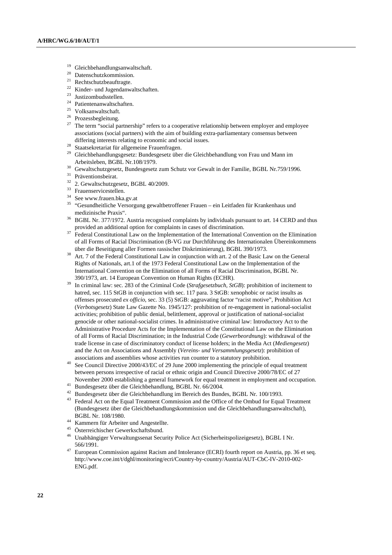- Gleichbehandlungsanwaltschaft.
- <sup>20</sup> Datenschutzkommission.<br><sup>21</sup> Dashtashutzkomfuarta
- <sup>21</sup> Rechtschutzbeauftragte.<br><sup>22</sup> Kinder, und Jugendanw
- $\frac{22}{23}$  Kinder- und Jugendanwaltschaften.
- $^{23}$  Justizombudsstellen.
- Patientenanwaltschaften.
- 25 Volksanwaltschaft.
- <sup>26</sup> Prozessbegleitung.
- <sup>27</sup> The term "social partnership" refers to a cooperative relationship between employer and employee associations (social partners) with the aim of building extra-parliamentary consensus between
- differing interests relating to economic and social issues.<br><sup>28</sup> Staatsekretariat für allgemeine Frauenfragen.
- <sup>29</sup> Gleichbehandlungsgesetz: Bundesgesetz über die Gleichbehandlung von Frau und Mann im
- Arbeitsleben, BGBL Nr.108/1979.<br><sup>30</sup> Gewaltschutzgesetz, Bundesgesetz zum Schutz vor Gewalt in der Familie, BGBL Nr.759/1996.<br><sup>31</sup> Präventionsbeirat.
- 
- $32$  2. Gewaltschutzgesetz, BGBL 40/2009.<br> $33$  Frauenservicestellen.
- 
- 34 See www.frauen.bka.gv.at
- 35 "Gesundheitliche Versorgung gewaltbetroffener Frauen ein Leitfaden für Krankenhaus und
- medizinische Praxis".<br><sup>36</sup> BGBL Nr. 377/1972. Austria recognised complaints by individuals pursuant to art. 14 CERD and thus
- provided an additional option for complaints in cases of discrimination.<br><sup>37</sup> Federal Constitutional Law on the Implementation of the International Convention on the Elimination of all Forms of Racial Discrimination (B-VG zur Durchführung des Internationalen Übereinkommens
- über die Beseitigung aller Formen rassischer Diskriminierung), BGBL 390/1973. 38 Art. 7 of the Federal Constitutional Law in conjunction with art. 2 of the Basic Law on the General Rights of Nationals, art.1 of the 1973 Federal Constitutional Law on the Implementation of the International Convention on the Elimination of all Forms of Racial Discrimination, BGBL Nr.
- 390/1973, art. 14 European Convention on Human Rights (ECHR). 39 In criminal law: sec. 283 of the Criminal Code (*Strafgesetzbuch, StGB*): prohibition of incitement to hatred, sec. 115 StGB in conjunction with sec. 117 para. 3 StGB: xenophobic or racist insults as offenses prosecuted *ex officio*, sec. 33 (5) StGB: aggravating factor "racist motive", Prohibition Act (*Verbotsgesetz*) State Law Gazette No. 1945/127: prohibition of re-engagement in national-socialist activities; prohibition of public denial, belittlement, approval or justification of national-socialist genocide or other national-socialist crimes. In administrative criminal law: Introductory Act to the Administrative Procedure Acts for the Implementation of the Constitutional Law on the Elimination of all Forms of Racial Discrimination; in the Industrial Code (*Gewerbeordnung*): withdrawal of the trade license in case of discriminatory conduct of license holders; in the Media Act (*Mediengesetz*) and the Act on Associations and Assembly (*Vereins- und Versammlungsgesetz*): prohibition of
- associations and assemblies whose activities run counter to a statutory prohibition.<br><sup>40</sup> See Council Directive 2000/43/EC of 29 June 2000 implementing the principle of equal treatment between persons irrespective of racial or ethnic origin and Council Directive 2000/78/EC of 27
- 
- November 2000 establishing a general framework for equal treatment in employment and occupation. 41 Bundesgesetz über die Gleichbehandlung, BGBL Nr. 66/2004.
- <sup>43</sup> Federal Act on the Equal Treatment Commission and the Office of the Ombud for Equal Treatment (Bundesgesetz über die Gleichbehandlungskommission und die Gleichbehandlungsanwaltschaft),
- $^{44}$  Kammern für Arbeiter und Angestellte.<br> $^{45}$  Österreichischer Gewerkschaftsbund.
- 
- <sup>46</sup> Unabhängiger Verwaltungssenat Security Police Act (Sicherheitspolizeigesetz), BGBL I Nr. 566/1991.<br>European Commission against Racism and Intolerance (ECRI) fourth report on Austria, pp. 36 et seq.
- http://www.coe.int/t/dghl/monitoring/ecri/Country-by-country/Austria/AUT-CbC-IV-2010-002- ENG.pdf.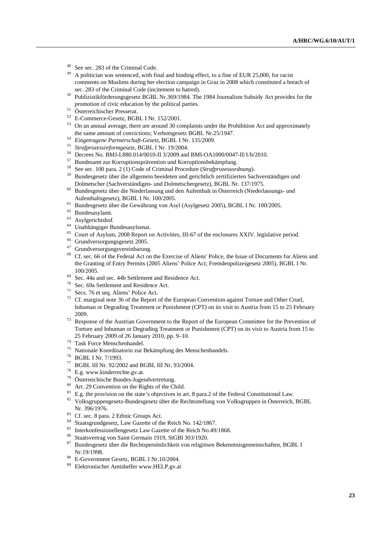- 48 See sec. 283 of the Criminal Code.
- A politician was sentenced, with final and binding effect, to a fine of EUR 25,000, for racist comments on Muslims during her election campaign in Graz in 2008 which constituted a breach of
- sec. 283 of the Criminal Code (incitement to hatred). 50 Publizistikförderungsgesetz BGBL Nr.369/1984. The 1984 Journalism Subsidy Act provides for the promotion of civic education by the political parties. 51 Österreichischer Presserat.
- 
- 52 E-Commerce-Gesetz, BGBL I Nr. 152/2001.
- <sup>53</sup> On an annual average, there are around 30 complaints under the Prohibition Act and approximately the same amount of convictions; Verbotsgesetz BGBL Nr.25/1947.<br>
<sup>54</sup> Eingetragene Partnerschaft-Gesetz, BGBL I Nr. 135/2009.<br>
<sup>55</sup> Strafprozessreformgesetz, BGBL I Nr. 19/2004.<br>
<sup>56</sup> Decrees No. BMJ-L880.014/0010-II 3/2009
- 
- 
- 
- 
- <sup>57</sup> Bundesamt zur Korruptionsprävention und Korruptionsbekämpfung.<br><sup>58</sup> See sec. 100 para. 2 (1) Code of Criminal Procedure (*Strafprozessordnung*).
- <sup>59</sup> Bundesgesetz über die allgemein beeideten und gerichtlich zertifizierten Sachverständigen und
- Dolmetscher (Sachverständigen- und Dolmetschergesetz), BGBL Nr. 137/1975. 60 Bundesgesetz über die Niederlassung und den Aufenthalt in Österreich (Niederlassungs- und Aufenthaltsgesetz), BGBL I Nr. 100/2005. 61 Bundesgesetz über die Gewährung von Asyl (Asylgesetz 2005), BGBL I Nr. 100/2005.
- 
- $^{62}$  Bundesasylamt.
- Asylgerichtshof.
- 64 Unabhängiger Bundesasylsenat.
- $^{65}$  Court of Asylum, 2008 Report on Activities, III-67 of the enclosures XXIV. legislative period.<br><sup>66</sup> Grundversorgungsgesetz 2005.
- 
- Grundversorgungsvereinbarung.
- Cf. sec. 66 of the Federal Act on the Exercise of Aliens' Police, the Issue of Documents for Aliens and the Granting of Entry Permits (2005 Aliens' Police Act; Fremdenpolizeigesetz 2005), BGBL I Nr. 100/2005.<br><sup>69</sup> Sec. 44a and sec. 44b Settlement and Residence Act.<br><sup>70</sup> Sec. 69a Settlement and Residence Act.
- 
- 
- 71 Secs. 76 et seq. Aliens' Police Act.
- <sup>72</sup> Cf. marginal note 36 of the Report of the European Convention against Torture and Other Cruel, Inhuman or Degrading Treatment or Punishment (CPT) on its visit to Austria from 15 to 25 February 2009. 73 Response of the Austrian Government to the Report of the European Committee for the Prevention of
- Torture and Inhuman or Degrading Treatment or Punishment (CPT) on its visit to Austria from 15 to  $25$  February 2009 of 26 January 2010, pp. 9–10. Task Force Menschenhandel.
- 
- <sup>75</sup> Nationale Koordinatorin zur Bekämpfung des Menschenhandels.<br><sup>76</sup> BGBL I Nr. 7/1993.
- 
- 77 BGBL III Nr. 92/2002 and BGBL III Nr. 93/2004.
- 
- <sup>78</sup> E.g. www.kinderrechte.gv.at.<br><sup>79</sup> Österreichische Bundes-Jugendvertretung.
- 
- <sup>80</sup> Art. 29 Convention on the Rights of the Child.<br><sup>81</sup> E.g. the provision on the state's objectives in art. 8 para. 2 of the Federal Constitutional Law.
- <sup>82</sup> Volksgruppengesetz-Bundesgesetz über die Rechtsstellung von Volksgruppen in Österreich, BGBL Nr. 396/1976.<br><sup>83</sup> Cf. sec. 8 para. 2 Ethnic Groups Act.
- 
- 84 Staatsgrundgesetz, Law Gazette of the Reich No. 142/1867.
- <sup>85</sup> Interkonfessionellengesetz Law Gazette of the Reich No.49/1868.<br><sup>86</sup> Staatsvertrag von Saint Germain 1919, StGBI 303/1920.
- 
- <sup>87</sup> Bundesgesetz über die Rechtspersönlichkeit von religiösen Bekenntnisgemeinschaften, BGBL I Nr.19/1998.<br><sup>88</sup> E-Government Gesetz, BGBL I Nr.10/2004.<br><sup>89</sup> Elektronischer Amtshelfer www.HELP.gv.at
- 
-